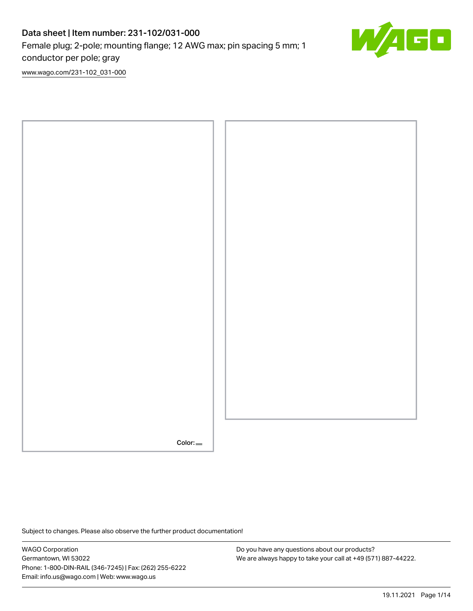# Data sheet | Item number: 231-102/031-000 Female plug; 2-pole; mounting flange; 12 AWG max; pin spacing 5 mm; 1 conductor per pole; gray

Ō

[www.wago.com/231-102\\_031-000](http://www.wago.com/231-102_031-000)



Subject to changes. Please also observe the further product documentation!

WAGO Corporation Germantown, WI 53022 Phone: 1-800-DIN-RAIL (346-7245) | Fax: (262) 255-6222 Email: info.us@wago.com | Web: www.wago.us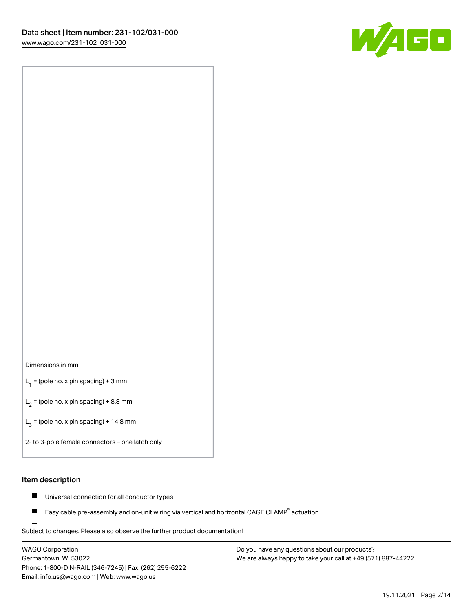

#### Dimensions in mm

 $L_1$  = (pole no. x pin spacing) + 3 mm

 $L_2$  = (pole no. x pin spacing) + 8.8 mm

 $L_3$  = (pole no. x pin spacing) + 14.8 mm

2- to 3-pole female connectors – one latch only

#### Item description

- $\blacksquare$ Universal connection for all conductor types
- Easy cable pre-assembly and on-unit wiring via vertical and horizontal CAGE CLAMP<sup>®</sup> actuation П

.<br>Subject to changes. Please also observe the further product documentation!

WAGO Corporation Germantown, WI 53022 Phone: 1-800-DIN-RAIL (346-7245) | Fax: (262) 255-6222 Email: info.us@wago.com | Web: www.wago.us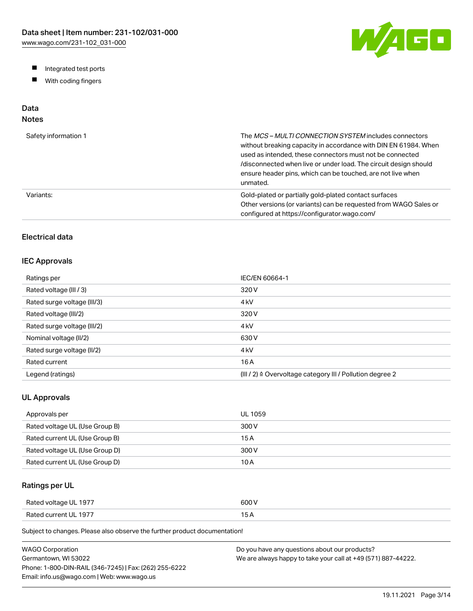W/AGO

- Integrated test ports
- $\blacksquare$ With coding fingers

# Data

# Notes

| Safety information 1 | The MCS-MULTI CONNECTION SYSTEM includes connectors<br>without breaking capacity in accordance with DIN EN 61984. When<br>used as intended, these connectors must not be connected<br>/disconnected when live or under load. The circuit design should<br>ensure header pins, which can be touched, are not live when<br>unmated. |
|----------------------|-----------------------------------------------------------------------------------------------------------------------------------------------------------------------------------------------------------------------------------------------------------------------------------------------------------------------------------|
| Variants:            | Gold-plated or partially gold-plated contact surfaces<br>Other versions (or variants) can be requested from WAGO Sales or<br>configured at https://configurator.wago.com/                                                                                                                                                         |

# Electrical data

## IEC Approvals

| Ratings per                 | IEC/EN 60664-1                                                        |
|-----------------------------|-----------------------------------------------------------------------|
| Rated voltage (III / 3)     | 320 V                                                                 |
| Rated surge voltage (III/3) | 4 <sub>kV</sub>                                                       |
| Rated voltage (III/2)       | 320 V                                                                 |
| Rated surge voltage (III/2) | 4 <sub>k</sub> V                                                      |
| Nominal voltage (II/2)      | 630 V                                                                 |
| Rated surge voltage (II/2)  | 4 <sub>k</sub> V                                                      |
| Rated current               | 16 A                                                                  |
| Legend (ratings)            | $(III / 2)$ $\triangle$ Overvoltage category III / Pollution degree 2 |

## UL Approvals

| Approvals per                  | <b>UL 1059</b> |
|--------------------------------|----------------|
| Rated voltage UL (Use Group B) | 300 V          |
| Rated current UL (Use Group B) | 15 A           |
| Rated voltage UL (Use Group D) | 300 V          |
| Rated current UL (Use Group D) | 10 A           |

# Ratings per UL

| Rated voltage UL 1977 | 600 V  |
|-----------------------|--------|
| Rated current UL 1977 | $\sim$ |

Subject to changes. Please also observe the further product documentation!

| <b>WAGO Corporation</b>                                | Do you have any questions about our products?                 |
|--------------------------------------------------------|---------------------------------------------------------------|
| Germantown, WI 53022                                   | We are always happy to take your call at +49 (571) 887-44222. |
| Phone: 1-800-DIN-RAIL (346-7245)   Fax: (262) 255-6222 |                                                               |
| Email: info.us@wago.com   Web: www.wago.us             |                                                               |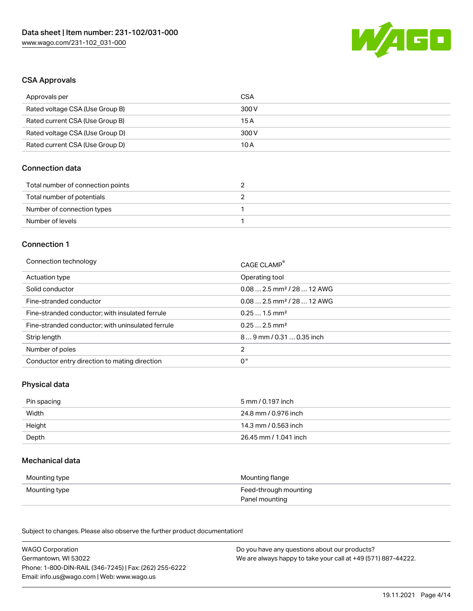

### CSA Approvals

| Approvals per                   | CSA   |
|---------------------------------|-------|
| Rated voltage CSA (Use Group B) | 300 V |
| Rated current CSA (Use Group B) | 15 A  |
| Rated voltage CSA (Use Group D) | 300 V |
| Rated current CSA (Use Group D) | 10 A  |

## Connection data

| Total number of connection points |  |
|-----------------------------------|--|
| Total number of potentials        |  |
| Number of connection types        |  |
| Number of levels                  |  |

#### Connection 1

| Connection technology                             | CAGE CLAMP®                            |
|---------------------------------------------------|----------------------------------------|
| Actuation type                                    | Operating tool                         |
| Solid conductor                                   | $0.082.5$ mm <sup>2</sup> / 28  12 AWG |
| Fine-stranded conductor                           | $0.082.5$ mm <sup>2</sup> / 28  12 AWG |
| Fine-stranded conductor; with insulated ferrule   | $0.251.5$ mm <sup>2</sup>              |
| Fine-stranded conductor; with uninsulated ferrule | $0.252.5$ mm <sup>2</sup>              |
| Strip length                                      | 89 mm / 0.31  0.35 inch                |
| Number of poles                                   | 2                                      |
| Conductor entry direction to mating direction     | 0°                                     |

## Physical data

| Pin spacing | 5 mm / 0.197 inch     |
|-------------|-----------------------|
| Width       | 24.8 mm / 0.976 inch  |
| Height      | 14.3 mm / 0.563 inch  |
| Depth       | 26.45 mm / 1.041 inch |

#### Mechanical data

| Mounting type | Mounting flange                         |
|---------------|-----------------------------------------|
| Mounting type | Feed-through mounting<br>Panel mounting |

Subject to changes. Please also observe the further product documentation!

| <b>WAGO Corporation</b>                                | Do you have any questions about our products?                 |
|--------------------------------------------------------|---------------------------------------------------------------|
| Germantown, WI 53022                                   | We are always happy to take your call at +49 (571) 887-44222. |
| Phone: 1-800-DIN-RAIL (346-7245)   Fax: (262) 255-6222 |                                                               |
| Email: info.us@wago.com   Web: www.wago.us             |                                                               |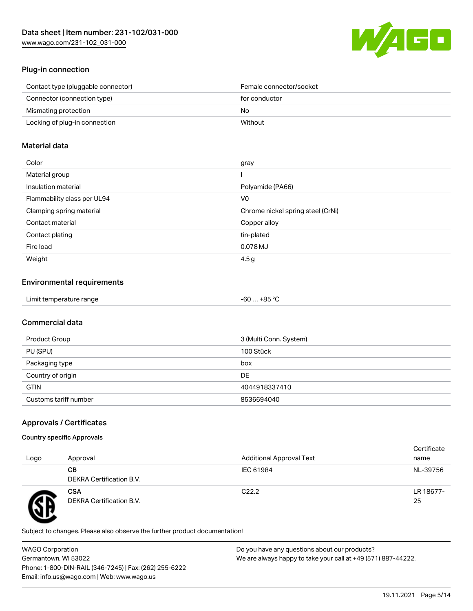

## Plug-in connection

| Contact type (pluggable connector) | Female connector/socket |
|------------------------------------|-------------------------|
| Connector (connection type)        | for conductor           |
| Mismating protection               | No.                     |
| Locking of plug-in connection      | Without                 |
|                                    |                         |

### Material data

| Color                       | gray                              |
|-----------------------------|-----------------------------------|
| Material group              |                                   |
| Insulation material         | Polyamide (PA66)                  |
| Flammability class per UL94 | V <sub>0</sub>                    |
| Clamping spring material    | Chrome nickel spring steel (CrNi) |
| Contact material            | Copper alloy                      |
| Contact plating             | tin-plated                        |
| Fire load                   | 0.078 MJ                          |
| Weight                      | 4.5 <sub>g</sub>                  |

## Environmental requirements

| Limit temperature range<br>. | . +85 °ົ<br>cn.<br>-ou |  |
|------------------------------|------------------------|--|
|------------------------------|------------------------|--|

# Commercial data

| Product Group         | 3 (Multi Conn. System) |
|-----------------------|------------------------|
| PU (SPU)              | 100 Stück              |
| Packaging type        | box                    |
| Country of origin     | <b>DE</b>              |
| <b>GTIN</b>           | 4044918337410          |
| Customs tariff number | 8536694040             |

# Approvals / Certificates

#### Country specific Approvals

| Logo | Approval                               | <b>Additional Approval Text</b> | Certificate<br>name |
|------|----------------------------------------|---------------------------------|---------------------|
|      | CВ<br>DEKRA Certification B.V.         | IEC 61984                       | NL-39756            |
|      | <b>CSA</b><br>DEKRA Certification B.V. | C <sub>22.2</sub>               | LR 18677-<br>25     |

Subject to changes. Please also observe the further product documentation!

WAGO Corporation Germantown, WI 53022 Phone: 1-800-DIN-RAIL (346-7245) | Fax: (262) 255-6222 Email: info.us@wago.com | Web: www.wago.us Do you have any questions about our products? We are always happy to take your call at +49 (571) 887-44222.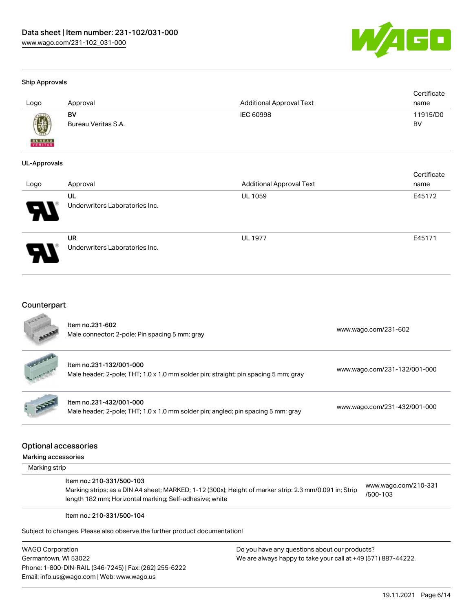

#### Ship Approvals

| Logo          | Approval            | <b>Additional Approval Text</b> | Certificate<br>name |
|---------------|---------------------|---------------------------------|---------------------|
| $\bigcirc$    | BV                  | IEC 60998                       | 11915/D0            |
| <b>BUREAU</b> | Bureau Veritas S.A. |                                 | BV                  |

#### UL-Approvals

| Logo                       | Approval                       | <b>Additional Approval Text</b> | Certificate<br>name |
|----------------------------|--------------------------------|---------------------------------|---------------------|
|                            | UL                             | <b>UL 1059</b>                  | E45172              |
| $\boldsymbol{\mathcal{P}}$ | Underwriters Laboratories Inc. |                                 |                     |
|                            | <b>UR</b>                      | <b>UL 1977</b>                  | E45171              |
|                            | Underwriters Laboratories Inc. |                                 |                     |

# Counterpart

|                                      | Item no.231-432/001-000<br>Male header; 2-pole; THT; 1.0 x 1.0 mm solder pin; angled; pin spacing 5 mm; gray                                                                                   | www.wago.com/231-432/001-000     |
|--------------------------------------|------------------------------------------------------------------------------------------------------------------------------------------------------------------------------------------------|----------------------------------|
|                                      |                                                                                                                                                                                                |                                  |
|                                      | <b>Optional accessories</b>                                                                                                                                                                    |                                  |
| Marking accessories<br>Marking strip |                                                                                                                                                                                                |                                  |
|                                      | Item no.: 210-331/500-103<br>Marking strips; as a DIN A4 sheet; MARKED; 1-12 (300x); Height of marker strip: 2.3 mm/0.091 in; Strip<br>length 182 mm; Horizontal marking; Self-adhesive; white | www.wago.com/210-331<br>/500-103 |

WAGO Corporation Germantown, WI 53022 Phone: 1-800-DIN-RAIL (346-7245) | Fax: (262) 255-6222 Email: info.us@wago.com | Web: www.wago.us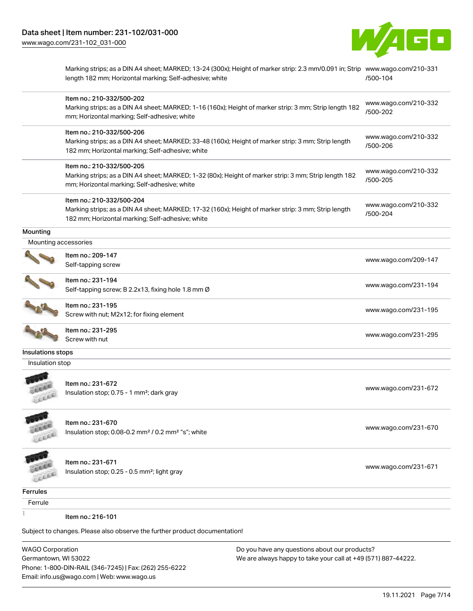

Marking strips; as a DIN A4 sheet; MARKED; 13-24 (300x); Height of marker strip: 2.3 mm/0.091 in; Strip [www.wago.com/210-331](http://www.wago.com/210-331/500-104) length 182 mm; Horizontal marking; Self-adhesive; white [/500-104](http://www.wago.com/210-331/500-104)

|                      | Item no.: 210-332/500-202<br>Marking strips; as a DIN A4 sheet; MARKED; 1-16 (160x); Height of marker strip: 3 mm; Strip length 182<br>mm; Horizontal marking; Self-adhesive; white  | www.wago.com/210-332<br>/500-202 |
|----------------------|--------------------------------------------------------------------------------------------------------------------------------------------------------------------------------------|----------------------------------|
|                      | Item no.: 210-332/500-206<br>Marking strips; as a DIN A4 sheet; MARKED; 33-48 (160x); Height of marker strip: 3 mm; Strip length<br>182 mm; Horizontal marking; Self-adhesive; white | www.wago.com/210-332<br>/500-206 |
|                      | Item no.: 210-332/500-205<br>Marking strips; as a DIN A4 sheet; MARKED; 1-32 (80x); Height of marker strip: 3 mm; Strip length 182<br>mm; Horizontal marking; Self-adhesive; white   | www.wago.com/210-332<br>/500-205 |
|                      | Item no.: 210-332/500-204<br>Marking strips; as a DIN A4 sheet; MARKED; 17-32 (160x); Height of marker strip: 3 mm; Strip length<br>182 mm; Horizontal marking; Self-adhesive; white | www.wago.com/210-332<br>/500-204 |
| Mounting             |                                                                                                                                                                                      |                                  |
| Mounting accessories |                                                                                                                                                                                      |                                  |
|                      | Item no.: 209-147<br>Self-tapping screw                                                                                                                                              | www.wago.com/209-147             |
|                      | Item no.: 231-194<br>Self-tapping screw; B 2.2x13, fixing hole 1.8 mm Ø                                                                                                              | www.wago.com/231-194             |
|                      | Item no.: 231-195<br>Screw with nut; M2x12; for fixing element                                                                                                                       | www.wago.com/231-195             |
|                      | Item no.: 231-295<br>Screw with nut                                                                                                                                                  | www.wago.com/231-295             |
| Insulations stops    |                                                                                                                                                                                      |                                  |
| Insulation stop      |                                                                                                                                                                                      |                                  |
| Licia                | Item no.: 231-672<br>Insulation stop; 0.75 - 1 mm <sup>2</sup> ; dark gray                                                                                                           | www.wago.com/231-672             |
| LEEE                 | Item no.: 231-670<br>Insulation stop; 0.08-0.2 mm <sup>2</sup> / 0.2 mm <sup>2</sup> "s"; white                                                                                      | www.wago.com/231-670             |
|                      | Item no.: 231-671<br>Insulation stop; 0.25 - 0.5 mm <sup>2</sup> ; light gray                                                                                                        | www.wago.com/231-671             |
| Ferrules             |                                                                                                                                                                                      |                                  |
| Ferrule              |                                                                                                                                                                                      |                                  |
|                      | Item no.: 216-101                                                                                                                                                                    |                                  |
|                      | Subject to changes. Please also observe the further product documentation!                                                                                                           |                                  |
|                      |                                                                                                                                                                                      |                                  |

WAGO Corporation Germantown, WI 53022 Phone: 1-800-DIN-RAIL (346-7245) | Fax: (262) 255-6222 Email: info.us@wago.com | Web: www.wago.us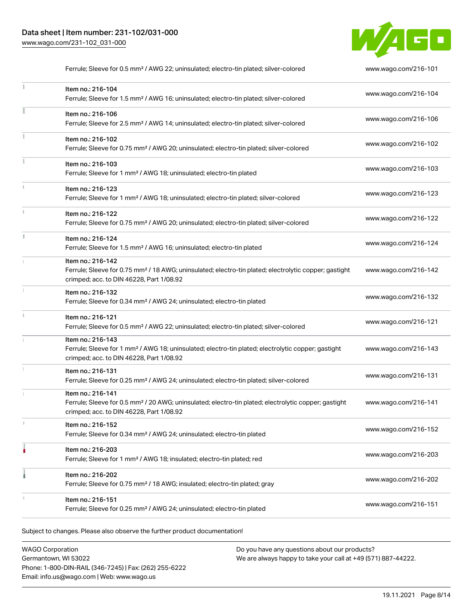

|    | Ferrule; Sleeve for 0.5 mm <sup>2</sup> / AWG 22; uninsulated; electro-tin plated; silver-colored                                                                                  | www.wago.com/216-101 |
|----|------------------------------------------------------------------------------------------------------------------------------------------------------------------------------------|----------------------|
|    | Item no.: 216-104<br>Ferrule; Sleeve for 1.5 mm <sup>2</sup> / AWG 16; uninsulated; electro-tin plated; silver-colored                                                             | www.wago.com/216-104 |
|    | Item no.: 216-106<br>Ferrule; Sleeve for 2.5 mm <sup>2</sup> / AWG 14; uninsulated; electro-tin plated; silver-colored                                                             | www.wago.com/216-106 |
| ž. | Item no.: 216-102<br>Ferrule; Sleeve for 0.75 mm <sup>2</sup> / AWG 20; uninsulated; electro-tin plated; silver-colored                                                            | www.wago.com/216-102 |
|    | Item no.: 216-103<br>Ferrule; Sleeve for 1 mm <sup>2</sup> / AWG 18; uninsulated; electro-tin plated                                                                               | www.wago.com/216-103 |
|    | Item no.: 216-123<br>Ferrule; Sleeve for 1 mm <sup>2</sup> / AWG 18; uninsulated; electro-tin plated; silver-colored                                                               | www.wago.com/216-123 |
|    | Item no.: 216-122<br>Ferrule; Sleeve for 0.75 mm <sup>2</sup> / AWG 20; uninsulated; electro-tin plated; silver-colored                                                            | www.wago.com/216-122 |
|    | Item no.: 216-124<br>Ferrule; Sleeve for 1.5 mm <sup>2</sup> / AWG 16; uninsulated; electro-tin plated                                                                             | www.wago.com/216-124 |
|    | Item no.: 216-142<br>Ferrule; Sleeve for 0.75 mm <sup>2</sup> / 18 AWG; uninsulated; electro-tin plated; electrolytic copper; gastight<br>crimped; acc. to DIN 46228, Part 1/08.92 | www.wago.com/216-142 |
|    | Item no.: 216-132<br>Ferrule; Sleeve for 0.34 mm <sup>2</sup> / AWG 24; uninsulated; electro-tin plated                                                                            | www.wago.com/216-132 |
|    | Item no.: 216-121<br>Ferrule; Sleeve for 0.5 mm <sup>2</sup> / AWG 22; uninsulated; electro-tin plated; silver-colored                                                             | www.wago.com/216-121 |
|    | Item no.: 216-143<br>Ferrule; Sleeve for 1 mm <sup>2</sup> / AWG 18; uninsulated; electro-tin plated; electrolytic copper; gastight<br>crimped; acc. to DIN 46228, Part 1/08.92    | www.wago.com/216-143 |
| I. | Item no.: 216-131<br>Ferrule; Sleeve for 0.25 mm <sup>2</sup> / AWG 24; uninsulated; electro-tin plated; silver-colored                                                            | www.wago.com/216-131 |
|    | Item no.: 216-141<br>Ferrule; Sleeve for 0.5 mm <sup>2</sup> / 20 AWG; uninsulated; electro-tin plated; electrolytic copper; gastight<br>crimped; acc. to DIN 46228, Part 1/08.92  | www.wago.com/216-141 |
|    | Item no.: 216-152<br>Ferrule; Sleeve for 0.34 mm <sup>2</sup> / AWG 24; uninsulated; electro-tin plated                                                                            | www.wago.com/216-152 |
|    | Item no.: 216-203<br>Ferrule; Sleeve for 1 mm <sup>2</sup> / AWG 18; insulated; electro-tin plated; red                                                                            | www.wago.com/216-203 |
|    | Item no.: 216-202<br>Ferrule; Sleeve for 0.75 mm <sup>2</sup> / 18 AWG; insulated; electro-tin plated; gray                                                                        | www.wago.com/216-202 |
|    | Item no.: 216-151<br>Ferrule; Sleeve for 0.25 mm <sup>2</sup> / AWG 24; uninsulated; electro-tin plated                                                                            | www.wago.com/216-151 |

Subject to changes. Please also observe the further product documentation!

WAGO Corporation Germantown, WI 53022 Phone: 1-800-DIN-RAIL (346-7245) | Fax: (262) 255-6222 Email: info.us@wago.com | Web: www.wago.us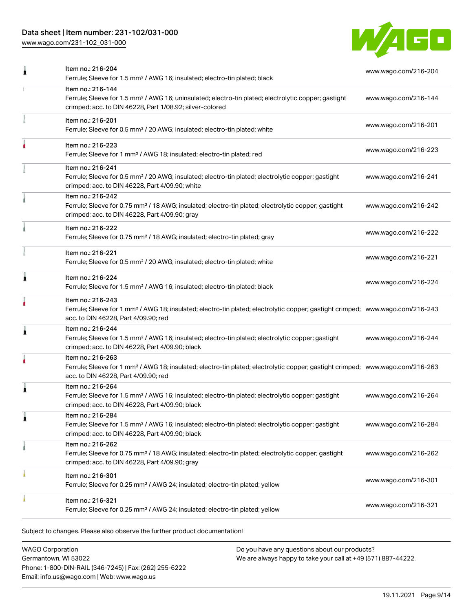# Data sheet | Item number: 231-102/031-000

[www.wago.com/231-102\\_031-000](http://www.wago.com/231-102_031-000)



|   | Item no.: 216-204<br>Ferrule; Sleeve for 1.5 mm <sup>2</sup> / AWG 16; insulated; electro-tin plated; black                                                                                             | www.wago.com/216-204 |
|---|---------------------------------------------------------------------------------------------------------------------------------------------------------------------------------------------------------|----------------------|
|   | Item no.: 216-144<br>Ferrule; Sleeve for 1.5 mm <sup>2</sup> / AWG 16; uninsulated; electro-tin plated; electrolytic copper; gastight<br>crimped; acc. to DIN 46228, Part 1/08.92; silver-colored       | www.wago.com/216-144 |
|   | Item no.: 216-201<br>Ferrule; Sleeve for 0.5 mm <sup>2</sup> / 20 AWG; insulated; electro-tin plated; white                                                                                             | www.wago.com/216-201 |
|   | Item no.: 216-223<br>Ferrule; Sleeve for 1 mm <sup>2</sup> / AWG 18; insulated; electro-tin plated; red                                                                                                 | www.wago.com/216-223 |
|   | Item no.: 216-241<br>Ferrule; Sleeve for 0.5 mm <sup>2</sup> / 20 AWG; insulated; electro-tin plated; electrolytic copper; gastight<br>crimped; acc. to DIN 46228, Part 4/09.90; white                  | www.wago.com/216-241 |
|   | Item no.: 216-242<br>Ferrule; Sleeve for 0.75 mm <sup>2</sup> / 18 AWG; insulated; electro-tin plated; electrolytic copper; gastight<br>crimped; acc. to DIN 46228, Part 4/09.90; gray                  | www.wago.com/216-242 |
|   | Item no.: 216-222<br>Ferrule; Sleeve for 0.75 mm <sup>2</sup> / 18 AWG; insulated; electro-tin plated; gray                                                                                             | www.wago.com/216-222 |
|   | Item no.: 216-221<br>Ferrule; Sleeve for 0.5 mm <sup>2</sup> / 20 AWG; insulated; electro-tin plated; white                                                                                             | www.wago.com/216-221 |
| Â | Item no.: 216-224<br>Ferrule; Sleeve for 1.5 mm <sup>2</sup> / AWG 16; insulated; electro-tin plated; black                                                                                             | www.wago.com/216-224 |
|   | Item no.: 216-243<br>Ferrule; Sleeve for 1 mm <sup>2</sup> / AWG 18; insulated; electro-tin plated; electrolytic copper; gastight crimped; www.wago.com/216-243<br>acc. to DIN 46228, Part 4/09.90; red |                      |
| Â | Item no.: 216-244<br>Ferrule; Sleeve for 1.5 mm <sup>2</sup> / AWG 16; insulated; electro-tin plated; electrolytic copper; gastight<br>crimped; acc. to DIN 46228, Part 4/09.90; black                  | www.wago.com/216-244 |
|   | Item no.: 216-263<br>Ferrule; Sleeve for 1 mm <sup>2</sup> / AWG 18; insulated; electro-tin plated; electrolytic copper; gastight crimped; www.wago.com/216-263<br>acc. to DIN 46228, Part 4/09.90; red |                      |
| ۸ | Item no.: 216-264<br>Ferrule; Sleeve for 1.5 mm <sup>2</sup> / AWG 16; insulated; electro-tin plated; electrolytic copper; gastight<br>crimped; acc. to DIN 46228, Part 4/09.90; black                  | www.wago.com/216-264 |
| £ | Item no.: 216-284<br>Ferrule; Sleeve for 1.5 mm <sup>2</sup> / AWG 16; insulated; electro-tin plated; electrolytic copper; gastight<br>crimped; acc. to DIN 46228, Part 4/09.90; black                  | www.wago.com/216-284 |
|   | Item no.: 216-262<br>Ferrule; Sleeve for 0.75 mm <sup>2</sup> / 18 AWG; insulated; electro-tin plated; electrolytic copper; gastight<br>crimped; acc. to DIN 46228, Part 4/09.90; gray                  | www.wago.com/216-262 |
|   | Item no.: 216-301<br>Ferrule; Sleeve for 0.25 mm <sup>2</sup> / AWG 24; insulated; electro-tin plated; yellow                                                                                           | www.wago.com/216-301 |
|   | Item no.: 216-321<br>Ferrule; Sleeve for 0.25 mm <sup>2</sup> / AWG 24; insulated; electro-tin plated; yellow                                                                                           | www.wago.com/216-321 |
|   |                                                                                                                                                                                                         |                      |

Subject to changes. Please also observe the further product documentation!

WAGO Corporation Germantown, WI 53022 Phone: 1-800-DIN-RAIL (346-7245) | Fax: (262) 255-6222 Email: info.us@wago.com | Web: www.wago.us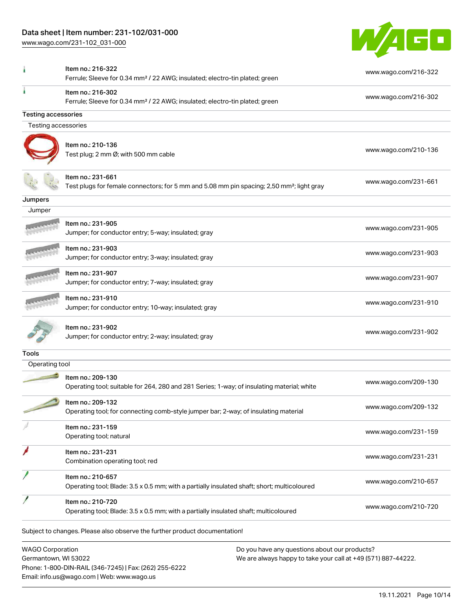Phone: 1-800-DIN-RAIL (346-7245) | Fax: (262) 255-6222

Email: info.us@wago.com | Web: www.wago.us

[www.wago.com/231-102\\_031-000](http://www.wago.com/231-102_031-000)



|                                                 | Item no.: 216-322<br>Ferrule; Sleeve for 0.34 mm <sup>2</sup> / 22 AWG; insulated; electro-tin plated; green     | www.wago.com/216-322                                                                                           |
|-------------------------------------------------|------------------------------------------------------------------------------------------------------------------|----------------------------------------------------------------------------------------------------------------|
|                                                 | Item no.: 216-302<br>Ferrule; Sleeve for 0.34 mm <sup>2</sup> / 22 AWG; insulated; electro-tin plated; green     | www.wago.com/216-302                                                                                           |
| <b>Testing accessories</b>                      |                                                                                                                  |                                                                                                                |
| Testing accessories                             |                                                                                                                  |                                                                                                                |
|                                                 | Item no.: 210-136<br>Test plug; 2 mm Ø; with 500 mm cable                                                        | www.wago.com/210-136                                                                                           |
|                                                 | ltem no.: 231-661<br>Test plugs for female connectors; for 5 mm and 5.08 mm pin spacing; 2,50 mm²; light gray    | www.wago.com/231-661                                                                                           |
| Jumpers                                         |                                                                                                                  |                                                                                                                |
| Jumper                                          |                                                                                                                  |                                                                                                                |
|                                                 | ltem no.: 231-905<br>Jumper; for conductor entry; 5-way; insulated; gray                                         | www.wago.com/231-905                                                                                           |
|                                                 | Item no.: 231-903<br>Jumper; for conductor entry; 3-way; insulated; gray                                         | www.wago.com/231-903                                                                                           |
|                                                 | Item no.: 231-907<br>Jumper; for conductor entry; 7-way; insulated; gray                                         | www.wago.com/231-907                                                                                           |
|                                                 | Item no.: 231-910<br>Jumper; for conductor entry; 10-way; insulated; gray                                        | www.wago.com/231-910                                                                                           |
|                                                 | Item no.: 231-902<br>Jumper; for conductor entry; 2-way; insulated; gray                                         | www.wago.com/231-902                                                                                           |
| Tools                                           |                                                                                                                  |                                                                                                                |
| Operating tool                                  |                                                                                                                  |                                                                                                                |
|                                                 | Item no.: 209-130<br>Operating tool; suitable for 264, 280 and 281 Series; 1-way; of insulating material; white  | www.wago.com/209-130                                                                                           |
|                                                 | Item no.: 209-132<br>Operating tool; for connecting comb-style jumper bar; 2-way; of insulating material         | www.wago.com/209-132                                                                                           |
|                                                 | Item no.: 231-159<br>Operating tool; natural                                                                     | www.wago.com/231-159                                                                                           |
|                                                 | Item no.: 231-231<br>Combination operating tool; red                                                             | www.wago.com/231-231                                                                                           |
|                                                 | Item no.: 210-657<br>Operating tool; Blade: 3.5 x 0.5 mm; with a partially insulated shaft; short; multicoloured | www.wago.com/210-657                                                                                           |
|                                                 | Item no.: 210-720<br>Operating tool; Blade: 3.5 x 0.5 mm; with a partially insulated shaft; multicoloured        | www.wago.com/210-720                                                                                           |
|                                                 | Subject to changes. Please also observe the further product documentation!                                       |                                                                                                                |
| <b>WAGO Corporation</b><br>Germantown, WI 53022 |                                                                                                                  | Do you have any questions about our products?<br>We are always happy to take your call at +49 (571) 887-44222. |
|                                                 |                                                                                                                  |                                                                                                                |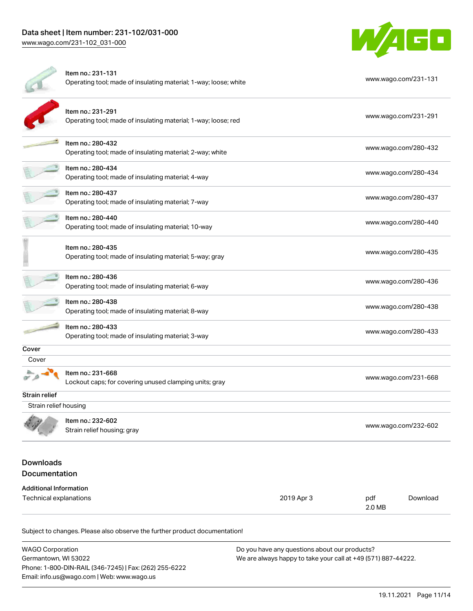

|                                   | Item no.: 231-131<br>Operating tool; made of insulating material; 1-way; loose; white |            | www.wago.com/231-131 |          |
|-----------------------------------|---------------------------------------------------------------------------------------|------------|----------------------|----------|
|                                   | Item no.: 231-291<br>Operating tool; made of insulating material; 1-way; loose; red   |            | www.wago.com/231-291 |          |
|                                   | Item no.: 280-432<br>Operating tool; made of insulating material; 2-way; white        |            | www.wago.com/280-432 |          |
|                                   | Item no.: 280-434<br>Operating tool; made of insulating material; 4-way               |            | www.wago.com/280-434 |          |
|                                   | Item no.: 280-437<br>Operating tool; made of insulating material; 7-way               |            | www.wago.com/280-437 |          |
|                                   | Item no.: 280-440<br>Operating tool; made of insulating material; 10-way              |            | www.wago.com/280-440 |          |
|                                   | Item no.: 280-435<br>Operating tool; made of insulating material; 5-way; gray         |            | www.wago.com/280-435 |          |
|                                   | Item no.: 280-436<br>Operating tool; made of insulating material; 6-way               |            | www.wago.com/280-436 |          |
|                                   | Item no.: 280-438<br>Operating tool; made of insulating material; 8-way               |            | www.wago.com/280-438 |          |
|                                   | Item no.: 280-433<br>Operating tool; made of insulating material; 3-way               |            | www.wago.com/280-433 |          |
| Cover                             |                                                                                       |            |                      |          |
| Cover                             |                                                                                       |            |                      |          |
|                                   | Item no.: 231-668<br>Lockout caps; for covering unused clamping units; gray           |            | www.wago.com/231-668 |          |
| Strain relief                     |                                                                                       |            |                      |          |
| Strain relief housing             |                                                                                       |            |                      |          |
|                                   | Item no.: 232-602<br>Strain relief housing; gray                                      |            | www.wago.com/232-602 |          |
| <b>Downloads</b><br>Documentation |                                                                                       |            |                      |          |
| <b>Additional Information</b>     |                                                                                       |            |                      |          |
| Technical explanations            |                                                                                       | 2019 Apr 3 | pdf<br>2.0 MB        | Download |

Subject to changes. Please also observe the further product documentation!

| <b>WAGO Corporation</b>                                | Do you have any questions about our products?                 |
|--------------------------------------------------------|---------------------------------------------------------------|
| Germantown. WI 53022                                   | We are always happy to take your call at +49 (571) 887-44222. |
| Phone: 1-800-DIN-RAIL (346-7245)   Fax: (262) 255-6222 |                                                               |
| Email: info.us@wago.com   Web: www.wago.us             |                                                               |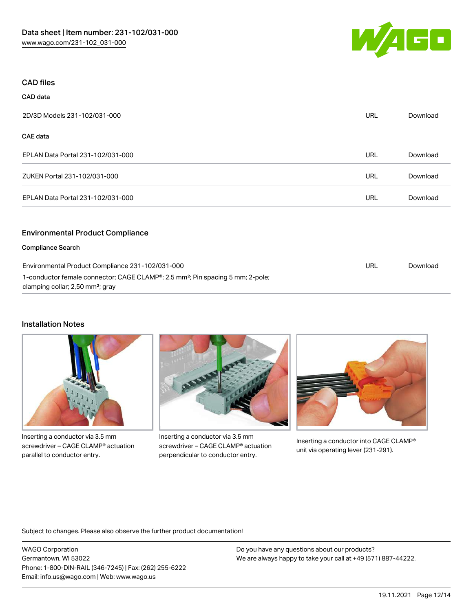

### CAD files

CAD data

| -----                                            |            |          |
|--------------------------------------------------|------------|----------|
| 2D/3D Models 231-102/031-000                     | <b>URL</b> | Download |
| CAE data                                         |            |          |
| EPLAN Data Portal 231-102/031-000                | <b>URL</b> | Download |
| ZUKEN Portal 231-102/031-000                     | <b>URL</b> | Download |
| EPLAN Data Portal 231-102/031-000                | URL        | Download |
| <b>Environmental Product Compliance</b>          |            |          |
| <b>Compliance Search</b>                         |            |          |
| Environmental Product Compliance 231-102/031-000 | <b>URL</b> | Download |

1-conductor female connector; CAGE CLAMP®; 2.5 mm²; Pin spacing 5 mm; 2-pole; clamping collar; 2,50 mm²; gray

### Installation Notes



Inserting a conductor via 3.5 mm screwdriver – CAGE CLAMP® actuation parallel to conductor entry.



Inserting a conductor via 3.5 mm screwdriver – CAGE CLAMP® actuation perpendicular to conductor entry.



Inserting a conductor into CAGE CLAMP® unit via operating lever (231-291).

Subject to changes. Please also observe the further product documentation!

WAGO Corporation Germantown, WI 53022 Phone: 1-800-DIN-RAIL (346-7245) | Fax: (262) 255-6222 Email: info.us@wago.com | Web: www.wago.us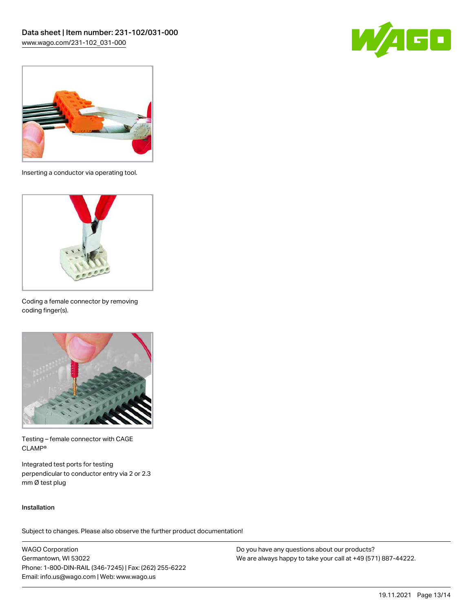



Inserting a conductor via operating tool.



Coding a female connector by removing coding finger(s).



Testing – female connector with CAGE CLAMP®

Integrated test ports for testing perpendicular to conductor entry via 2 or 2.3 mm Ø test plug

#### Installation

Subject to changes. Please also observe the further product documentation!

WAGO Corporation Germantown, WI 53022 Phone: 1-800-DIN-RAIL (346-7245) | Fax: (262) 255-6222 Email: info.us@wago.com | Web: www.wago.us